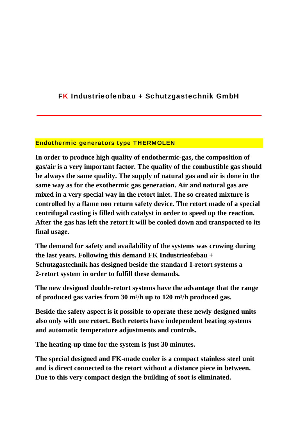## FK Industrieofenbau + Schutzgastechnik GmbH

\_\_\_\_\_\_\_\_\_\_\_\_\_\_\_\_\_\_\_\_\_\_\_\_\_\_\_\_\_\_\_\_\_\_\_\_\_\_\_\_\_\_\_\_\_\_\_\_\_\_\_\_\_\_\_\_\_\_\_\_\_\_\_\_

## Endothermic generators type THERMOLEN

**In order to produce high quality of endothermic-gas, the composition of gas/air is a very important factor. The quality of the combustible gas should be always the same quality. The supply of natural gas and air is done in the same way as for the exothermic gas generation. Air and natural gas are mixed in a very special way in the retort inlet. The so created mixture is controlled by a flame non return safety device. The retort made of a special centrifugal casting is filled with catalyst in order to speed up the reaction. After the gas has left the retort it will be cooled down and transported to its final usage.** 

**The demand for safety and availability of the systems was crowing during the last years. Following this demand FK Industrieofebau + Schutzgastechnik has designed beside the standard 1-retort systems a 2-retort system in order to fulfill these demands.** 

**The new designed double-retort systems have the advantage that the range of produced gas varies from 30 m³/h up to 120 m³/h produced gas.** 

**Beside the safety aspect is it possible to operate these newly designed units also only with one retort. Both retorts have independent heating systems and automatic temperature adjustments and controls.** 

**The heating-up time for the system is just 30 minutes.** 

**The special designed and FK-made cooler is a compact stainless steel unit and is direct connected to the retort without a distance piece in between. Due to this very compact design the building of soot is eliminated.**